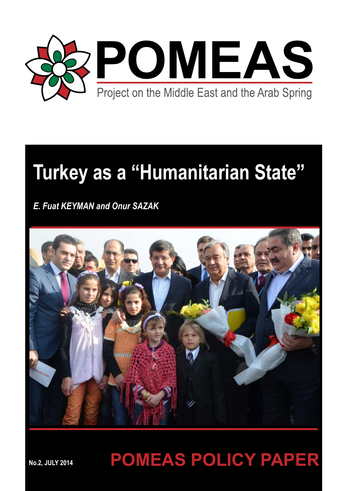

# **Turkey as a "Humanitarian State"**

*E. Fuat KEYMAN and Onur SAZAK*



# **POMEAS POLICY PAPER**

**No.2, JULY 2014**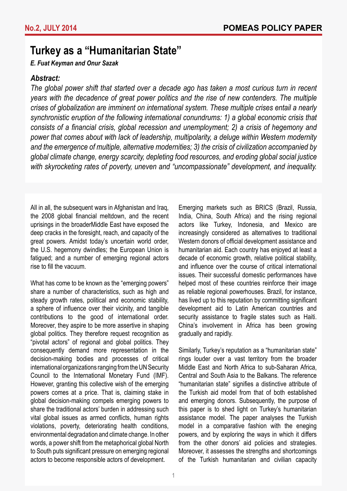# **Turkey as a "Humanitarian State"**

### *E. Fuat Keyman and Onur Sazak*

### *Abstract:*

*The global power shift that started over a decade ago has taken a most curious turn in recent years with the decadence of great power politics and the rise of new contenders. The multiple crises of globalization are imminent on international system. These multiple crises entail a nearly synchronistic eruption of the following international conundrums: 1) a global economic crisis that consists of a financial crisis, global recession and unemployment; 2) a crisis of hegemony and power that comes about with lack of leadership, multipolarity, a deluge within Western modernity and the emergence of multiple, alternative modernities; 3) the crisis of civilization accompanied by global climate change, energy scarcity, depleting food resources, and eroding global social justice with skyrocketing rates of poverty, uneven and "uncompassionate" development, and inequality.* 

All in all, the subsequent wars in Afghanistan and Iraq, the 2008 global financial meltdown, and the recent uprisings in the broaderMiddle East have exposed the deep cracks in the foresight, reach, and capacity of the great powers. Amidst today's uncertain world order, the U.S. hegemony dwindles; the European Union is fatigued; and a number of emerging regional actors rise to fill the vacuum.

What has come to be known as the "emerging powers" share a number of characteristics, such as high and steady growth rates, political and economic stability, a sphere of influence over their vicinity, and tangible contributions to the good of international order. Moreover, they aspire to be more assertive in shaping global politics. They therefore request recognition as "pivotal actors" of regional and global politics. They consequently demand more representation in the decision-making bodies and processes of critical international organizations ranging from the UN Security Council to the International Monetary Fund (IMF). However, granting this collective wish of the emerging powers comes at a price. That is, claiming stake in global decision-making compels emerging powers to share the traditional actors' burden in addressing such vital global issues as armed conflicts, human rights violations, poverty, deteriorating health conditions, environmental degradation and climate change. In other words, a power shift from the metaphorical global North to South puts significant pressure on emerging regional actors to become responsible actors of development.

Emerging markets such as BRICS (Brazil, Russia, India, China, South Africa) and the rising regional actors like Turkey, Indonesia, and Mexico are increasingly considered as alternatives to traditional Western donors of official development assistance and humanitarian aid. Each country has enjoyed at least a decade of economic growth, relative political stability, and influence over the course of critical international issues. Their successful domestic performances have helped most of these countries reinforce their image as reliable regional powerhouses. Brazil, for instance, has lived up to this reputation by committing significant development aid to Latin American countries and security assistance to fragile states such as Haiti. China's involvement in Africa has been growing gradually and rapidly.

Similarly, Turkey's reputation as a "humanitarian state" rings louder over a vast territory from the broader Middle East and North Africa to sub-Saharan Africa, Central and South Asia to the Balkans. The reference "humanitarian state" signifies a distinctive attribute of the Turkish aid model from that of both established and emerging donors. Subsequently, the purpose of this paper is to shed light on Turkey's humanitarian assistance model. The paper analyses the Turkish model in a comparative fashion with the eneging powers, and by exploring the ways in which it differs from the other donors' aid policies and strategies. Moreover, it assesses the strengths and shortcomings of the Turkish humanitarian and civilian capacity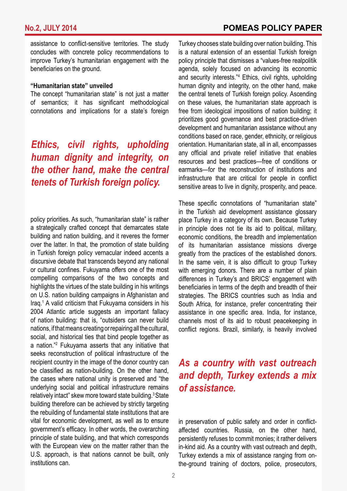assistance to conflict-sensitive territories. The study concludes with concrete policy recommendations to improve Turkey's humanitarian engagement with the beneficiaries on the ground.

#### **"Humanitarian state" unveiled**

The concept "humanitarian state" is not just a matter of semantics; it has significant methodological connotations and implications for a state's foreign

*Ethics, civil rights, upholding human dignity and integrity, on the other hand, make the central tenets of Turkish foreign policy.*

policy priorities. As such, "humanitarian state" is rather a strategically crafted concept that demarcates state building and nation building, and it reveres the former over the latter. In that, the promotion of state building in Turkish foreign policy vernacular indeed accents a discursive debate that transcends beyond any national or cultural confines. Fukuyama offers one of the most compelling comparisons of the two concepts and highlights the virtues of the state building in his writings on U.S. nation building campaigns in Afghanistan and Iraq.<sup>1</sup> A valid criticism that Fukuyama considers in his 2004 Atlantic article suggests an important fallacy of nation building: that is, "outsiders can never build nations, if that means creating or repairing all the cultural, social, and historical ties that bind people together as a nation."<sup>2</sup> Fukuyama asserts that any initiative that seeks reconstruction of political infrastructure of the recipient country in the image of the donor country can be classified as nation-building. On the other hand, the cases where national unity is preserved and "the underlying social and political infrastructure remains relatively intact" skew more toward state building.3 State building therefore can be achieved by strictly targeting the rebuilding of fundamental state institutions that are vital for economic development, as well as to ensure government's efficacy. In other words, the overarching principle of state building, and that which corresponds with the European view on the matter rather than the U.S. approach, is that nations cannot be built, only institutions can.

Turkey chooses state building over nation building. This is a natural extension of an essential Turkish foreign policy principle that dismisses a "values-free realpolitik agenda, solely focused on advancing its economic and security interests."<sup>4</sup> Ethics, civil rights, upholding human dignity and integrity, on the other hand, make the central tenets of Turkish foreign policy. Ascending on these values, the humanitarian state approach is free from ideological impositions of nation building; it prioritizes good governance and best practice-driven development and humanitarian assistance without any conditions based on race, gender, ethnicity, or religious orientation. Humanitarian state, all in all, encompasses any official and private relief initiative that enables resources and best practices—free of conditions or earmarks—for the reconstruction of institutions and infrastructure that are critical for people in conflict sensitive areas to live in dignity, prosperity, and peace.

These specific connotations of "humanitarian state" in the Turkish aid development assistance glossary place Turkey in a category of its own. Because Turkey in principle does not tie its aid to political, military, economic conditions, the breadth and implementation of its humanitarian assistance missions diverge greatly from the practices of the established donors. In the same vein, it is also difficult to group Turkey with emerging donors. There are a number of plain differences in Turkey's and BRICS' engagement with beneficiaries in terms of the depth and breadth of their strategies. The BRICS countries such as India and South Africa, for instance, prefer concentrating their assistance in one specific area. India, for instance, channels most of its aid to robust peacekeeping in conflict regions. Brazil, similarly, is heavily involved

# *As a country with vast outreach and depth, Turkey extends a mix of assistance.*

in preservation of public safety and order in conflictaffected countries. Russia, on the other hand, persistently refuses to commit monies; it rather delivers in-kind aid. As a country with vast outreach and depth, Turkey extends a mix of assistance ranging from onthe-ground training of doctors, police, prosecutors,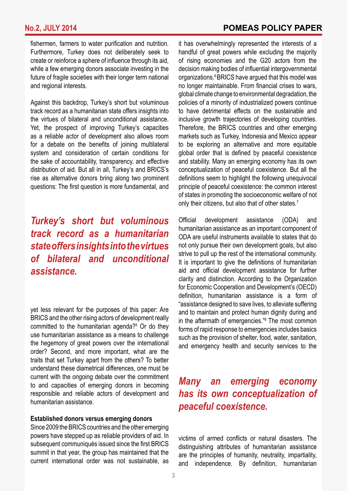fishermen, farmers to water purification and nutrition. Furthermore, Turkey does not deliberately seek to create or reinforce a sphere of influence through its aid, while a few emerging donors associate investing in the future of fragile societies with their longer term national and regional interests.

Against this backdrop, Turkey's short but voluminous track record as a humanitarian state offers insights into the virtues of bilateral and unconditional assistance. Yet, the prospect of improving Turkey's capacities as a reliable actor of development also allows room for a debate on the benefits of joining multilateral system and consideration of certain conditions for the sake of accountability, transparency, and effective distribution of aid. But all in all, Turkey's and BRICS's rise as alternative donors bring along two prominent questions: The first question is more fundamental, and

# *Turkey's short but voluminous track record as a humanitarian state offers insights into the virtues of bilateral and unconditional assistance.*

yet less relevant for the purposes of this paper: Are BRICS and the other rising actors of development really committed to the humanitarian agenda?<sup>5</sup> Or do they use humanitarian assistance as a means to challenge the hegemony of great powers over the international order? Second, and more important, what are the traits that set Turkey apart from the others? To better understand these diametrical differences, one must be current with the ongoing debate over the commitment to and capacities of emerging donors in becoming responsible and reliable actors of development and humanitarian assistance.

#### **Established donors versus emerging donors**

Since 2009 the BRICS countries and the other emerging powers have stepped up as reliable providers of aid. In subsequent communiqués issued since the first BRICS summit in that year, the group has maintained that the current international order was not sustainable, as it has overwhelmingly represented the interests of a handful of great powers while excluding the majority of rising economies and the G20 actors from the decision making bodies of influential intergovernmental organizations.6 BRICS have argued that this model was no longer maintainable. From financial crises to wars, global climate change to environmental degradation, the policies of a minority of industrialized powers continue to have detrimental effects on the sustainable and inclusive growth trajectories of developing countries. Therefore, the BRICS countries and other emerging markets such as Turkey, Indonesia and Mexico appear to be exploring an alternative and more equitable global order that is defined by peaceful coexistence and stability. Many an emerging economy has its own conceptualization of peaceful coexistence. But all the definitions seem to highlight the following unequivocal principle of peaceful coexistence: the common interest of states in promoting the socioeconomic welfare of not only their citizens, but also that of other states.<sup>7</sup>

Official development assistance (ODA) and humanitarian assistance as an important component of ODA are useful instruments available to states that do not only pursue their own development goals, but also strive to pull up the rest of the international community. It is important to give the definitions of humanitarian aid and official development assistance for further clarity and distinction. According to the Organization for Economic Cooperation and Development's (OECD) definition, humanitarian assistance is a form of "assistance designed to save lives, to alleviate suffering and to maintain and protect human dignity during and in the aftermath of emergencies."<sup>8</sup> The most common forms of rapid response to emergencies includes basics such as the provision of shelter, food, water, sanitation, and emergency health and security services to the

# *Many an emerging economy has its own conceptualization of peaceful coexistence.*

victims of armed conflicts or natural disasters. The distinguishing attributes of humanitarian assistance are the principles of humanity, neutrality, impartiality, and independence. By definition, humanitarian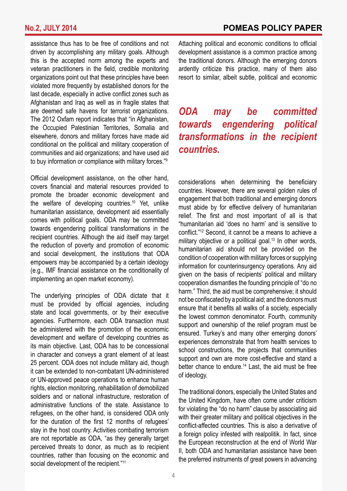assistance thus has to be free of conditions and not driven by accomplishing any military goals. Although this is the accepted norm among the experts and veteran practitioners in the field, credible monitoring organizations point out that these principles have been violated more frequently by established donors for the last decade, especially in active conflict zones such as Afghanistan and Iraq as well as in fragile states that are deemed safe havens for terrorist organizations. The 2012 Oxfam report indicates that "in Afghanistan, the Occupied Palestinian Territories, Somalia and elsewhere, donors and military forces have made aid conditional on the political and military cooperation of communities and aid organizations; and have used aid to buy information or compliance with military forces."9

Official development assistance, on the other hand, covers financial and material resources provided to promote the broader economic development and the welfare of developing countries.<sup>10</sup> Yet, unlike humanitarian assistance, development aid essentially comes with political goals. ODA may be committed towards engendering political transformations in the recipient countries. Although the aid itself may target the reduction of poverty and promotion of economic and social development, the institutions that ODA empowers may be accompanied by a certain ideology (e.g., IMF financial assistance on the conditionality of implementing an open market economy).

The underlying principles of ODA dictate that it must be provided by official agencies, including state and local governments, or by their executive agencies. Furthermore, each ODA transaction must be administered with the promotion of the economic development and welfare of developing countries as its main objective. Last, ODA has to be concessional in character and conveys a grant element of at least 25 percent. ODA does not include military aid, though it can be extended to non-combatant UN-administered or UN-approved peace operations to enhance human rights, election monitoring, rehabilitation of demobilized soldiers and or national infrastructure, restoration of administrative functions of the state. Assistance to refugees, on the other hand, is considered ODA only for the duration of the first 12 months of refugees' stay in the host country. Activities combating terrorism are not reportable as ODA, "as they generally target perceived threats to donor, as much as to recipient countries, rather than focusing on the economic and social development of the recipient."<sup>11</sup>

Attaching political and economic conditions to official development assistance is a common practice among the traditional donors. Although the emerging donors ardently criticize this practice, many of them also resort to similar, albeit subtle, political and economic

# *ODA may be committed towards engendering political transformations in the recipient countries.*

considerations when determining the beneficiary countries. However, there are several golden rules of engagement that both traditional and emerging donors must abide by for effective delivery of humanitarian relief. The first and most important of all is that "humanitarian aid 'does no harm' and is sensitive to conflict."<sup>12</sup> Second, it cannot be a means to achieve a military objective or a political goal.<sup>13</sup> In other words, humanitarian aid should not be provided on the condition of cooperation with military forces or supplying information for counterinsurgency operations. Any aid given on the basis of recipients' political and military cooperation dismantles the founding principle of "do no harm." Third, the aid must be comprehensive; it should not be confiscated by a political aid; and the donors must ensure that it benefits all walks of a society, especially the lowest common denominator. Fourth, community support and ownership of the relief program must be ensured. Turkey's and many other emerging donors' experiences demonstrate that from health services to school constructions, the projects that communities support and own are more cost-effective and stand a better chance to endure.<sup>14</sup> Last, the aid must be free of ideology.

The traditional donors, especially the United States and the United Kingdom, have often come under criticism for violating the "do no harm" clause by associating aid with their greater military and political objectives in the conflict-affected countries. This is also a derivative of a foreign policy infested with realpolitik. In fact, since the European reconstruction at the end of World War II, both ODA and humanitarian assistance have been the preferred instruments of great powers in advancing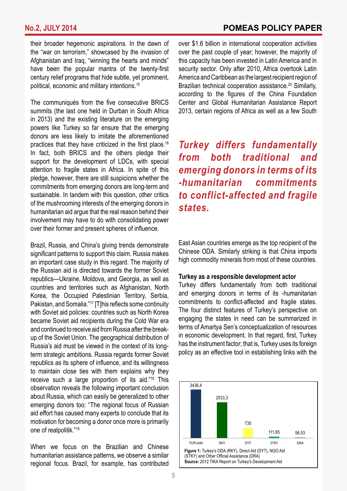their broader hegemonic aspirations. In the dawn of the "war on terrorism," showcased by the invasion of Afghanistan and Iraq, "winning the hearts and minds" have been the popular mantra of the twenty-first century relief programs that hide subtle, yet prominent, political, economic and military intentions.<sup>15</sup>

The communiqués from the five consecutive BRICS summits (the last one held in Durban in South Africa in 2013) and the existing literature on the emerging powers like Turkey so far ensure that the emerging donors are less likely to imitate the aforementioned practices that they have criticized in the first place.<sup>16</sup> In fact, both BRICS and the others pledge their support for the development of LDCs, with special attention to fragile states in Africa. In spite of this pledge, however, there are still suspicions whether the commitments from emerging donors are long-term and sustainable. In tandem with this question, other critics of the mushrooming interests of the emerging donors in humanitarian aid argue that the real reason behind their involvement may have to do with consolidating power over their former and present spheres of influence.

Brazil, Russia, and China's giving trends demonstrate significant patterns to support this claim. Russia makes an important case study in this regard. The majority of the Russian aid is directed towards the former Soviet republics—Ukraine, Moldova, and Georgia, as well as countries and territories such as Afghanistan, North Korea, the Occupied Palestinian Territory, Serbia, Pakistan, and Somalia."<sup>17</sup> [T]his reflects some continuity with Soviet aid policies: countries such as North Korea became Soviet aid recipients during the Cold War era and continued to receive aid from Russia after the breakup of the Soviet Union. The geographical distribution of Russia's aid must be viewed in the context of its longterm strategic ambitions. Russia regards former Soviet republics as its sphere of influence, and its willingness to maintain close ties with them explains why they receive such a large proportion of its aid."<sup>18</sup> This observation reveals the following important conclusion about Russia, which can easily be generalized to other emerging donors too: "The regional focus of Russian aid effort has caused many experts to conclude that its motivation for becoming a donor once more is primarily one of realpolitik."19

When we focus on the Brazilian and Chinese humanitarian assistance patterns, we observe a similar regional focus. Brazil, for example, has contributed

over \$1.6 billion in international cooperation activities over the past couple of year; however, the majority of this capacity has been invested in Latin America and in security sector. Only after 2010, Africa overtook Latin America and Caribbean as the largest recipient region of Brazilian technical cooperation assistance.<sup>20</sup> Similarly, according to the figures of the China Foundation Center and Global Humanitarian Assistance Report 2013, certain regions of Africa as well as a few South

*Turkey differs fundamentally from both traditional and emerging donors in terms of its -humanitarian commitments to conflict-affected and fragile states.* 

East Asian countries emerge as the top recipient of the Chinese ODA. Similarly striking is that China imports high commodity minerals from most of these countries.

#### **Turkey as a responsible development actor**

Turkey differs fundamentally from both traditional and emerging donors in terms of its -humanitarian commitments to conflict-affected and fragile states. The four distinct features of Turkey's perspective on engaging the states in need can be summarized in terms of Amartya Sen's conceptualization of resources in economic development. In that regard, first, Turkey has the instrument factor; that is, Turkey uses its foreign policy as an effective tool in establishing links with the

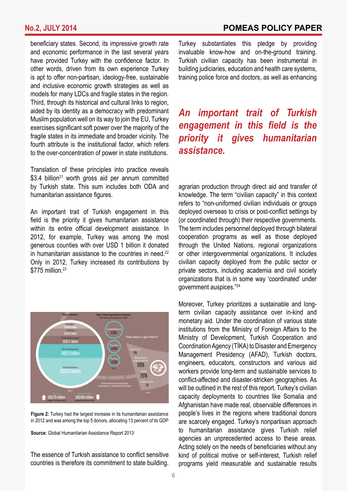beneficiary states. Second, its impressive growth rate and economic performance in the last several years have provided Turkey with the confidence factor. In other words, driven from its own experience Turkey is apt to offer non-partisan, ideology-free, sustainable and inclusive economic growth strategies as well as models for many LDCs and fragile states in the region. Third, through its historical and cultural links to region, aided by its identity as a democracy with predominant Muslim population well on its way to join the EU, Turkey exercises significant soft power over the majority of the fragile states in its immediate and broader vicinity. The fourth attribute is the institutional factor, which refers to the over-concentration of power in state institutions.

Translation of these principles into practice reveals  $$3.4$  billion<sup>21</sup> worth gross aid per annum committed by Turkish state. This sum includes both ODA and humanitarian assistance figures.

An important trait of Turkish engagement in this field is the priority it gives humanitarian assistance within its entire official development assistance. In 2012, for example, Turkey was among the most generous counties with over USD 1 billion it donated in humanitarian assistance to the countries in need. $22$ Only in 2012, Turkey increased its contributions by  $$775$  million  $^{23}$ 



**Figure 2:** Turkey had the largest increase in its humanitarian assistance in 2012 and was among the top 5 donors, allocating 13 percent of its GDP

**Source:** Global Humanitarian Assistance Report 2013

The essence of Turkish assistance to conflict sensitive countries is therefore its commitment to state building.

Turkey substantiates this pledge by providing invaluable know-how and on-the-ground training. Turkish civilian capacity has been instrumental in building judiciaries, education and health care systems, training police force and doctors, as well as enhancing

*An important trait of Turkish engagement in this field is the priority it gives humanitarian assistance.*

agrarian production through direct aid and transfer of knowledge. The term "civilian capacity" in this context refers to "non-uniformed civilian individuals or groups deployed overseas to crisis or post-conflict settings by (or coordinated through) their respective governments. The term includes personnel deployed through bilateral cooperation programs as well as those deployed through the United Nations, regional organizations or other intergovernmental organizations. It includes civilian capacity deployed from the public sector or private sectors, including academia and civil society organizations that is in some way 'coordinated' under government auspices."<sup>24</sup>

Moreover, Turkey prioritizes a sustainable and longterm civilian capacity assistance over in-kind and monetary aid. Under the coordination of various state institutions from the Ministry of Foreign Affairs to the Ministry of Development, Turkish Cooperation and Coordination Agency (TİKA) to Disaster and Emergency Management Presidency (AFAD), Turkish doctors, engineers, educators, constructors and various aid workers provide long-term and sustainable services to conflict-affected and disaster-stricken geographies. As will be outlined in the rest of this report, Turkey's civilian capacity deployments to countries like Somalia and Afghanistan have made real, observable differences in people's lives in the regions where traditional donors are scarcely engaged. Turkey's nonpartisan approach to humanitarian assistance gives Turkish relief agencies an unprecedented access to these areas. Acting solely on the needs of beneficiaries without any kind of political motive or self-interest, Turkish relief programs yield measurable and sustainable results

6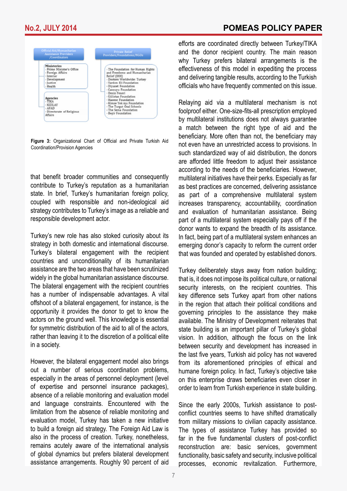

**Figure 3:** Organizational Chart of Official and Private Turkish Aid Coordination/Provision Agencies

that benefit broader communities and consequently contribute to Turkey's reputation as a humanitarian state. In brief, Turkey's humanitarian foreign policy, coupled with responsible and non-ideological aid strategy contributes to Turkey's image as a reliable and responsible development actor.

Turkey's new role has also stoked curiosity about its strategy in both domestic and international discourse. Turkey's bilateral engagement with the recipient countries and unconditionality of its humanitarian assistance are the two areas that have been scrutinized widely in the global humanitarian assistance discourse. The bilateral engagement with the recipient countries has a number of indispensable advantages. A vital offshoot of a bilateral engagement, for instance, is the opportunity it provides the donor to get to know the actors on the ground well. This knowledge is essential for symmetric distribution of the aid to all of the actors, rather than leaving it to the discretion of a political elite in a society.

However, the bilateral engagement model also brings out a number of serious coordination problems, especially in the areas of personnel deployment (level of expertise and personnel insurance packages), absence of a reliable monitoring and evaluation model and language constraints. Encountered with the limitation from the absence of reliable monitoring and evaluation model, Turkey has taken a new initiative to build a foreign aid strategy. The Foreign Aid Law is also in the process of creation. Turkey, nonetheless, remains acutely aware of the international analysis of global dynamics but prefers bilateral development assistance arrangements. Roughly 90 percent of aid

efforts are coordinated directly between Turkey/TIKA and the donor recipient country. The main reason why Turkey prefers bilateral arrangements is the effectiveness of this model in expediting the process and delivering tangible results, according to the Turkish officials who have frequently commented on this issue.

Relaying aid via a multilateral mechanism is not foolproof either. One-size-fits-all prescription employed by multilateral institutions does not always guarantee a match between the right type of aid and the beneficiary. More often than not, the beneficiary may not even have an unrestricted access to provisions. In such standardized way of aid distribution, the donors are afforded little freedom to adjust their assistance according to the needs of the beneficiaries. However, multilateral initiatives have their perks. Especially as far as best practices are concerned, delivering assistance as part of a comprehensive multilateral system increases transparency, accountability, coordination and evaluation of humanitarian assistance. Being part of a multilateral system especially pays off if the donor wants to expand the breadth of its assistance. In fact, being part of a multilateral system enhances an emerging donor's capacity to reform the current order that was founded and operated by established donors.

Turkey deliberately stays away from nation building; that is, it does not impose its political culture, or national security interests, on the recipient countries. This key difference sets Turkey apart from other nations in the region that attach their political conditions and governing principles to the assistance they make available. The Ministry of Development reiterates that state building is an important pillar of Turkey's global vision. In addition, although the focus on the link between security and development has increased in the last five years, Turkish aid policy has not wavered from its aforementioned principles of ethical and humane foreign policy. In fact, Turkey's objective take on this enterprise draws beneficiaries even closer in order to learn from Turkish experience in state building.

Since the early 2000s, Turkish assistance to postconflict countries seems to have shifted dramatically from military missions to civilian capacity assistance. The types of assistance Turkey has provided so far in the five fundamental clusters of post-conflict reconstruction are: basic services, government functionality, basic safety and security, inclusive political processes, economic revitalization. Furthermore,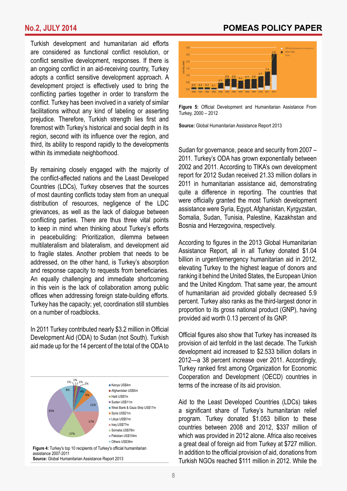Turkish development and humanitarian aid efforts are considered as functional conflict resolution, or conflict sensitive development, responses. If there is an ongoing conflict in an aid-receiving country, Turkey adopts a conflict sensitive development approach. A development project is effectively used to bring the conflicting parties together in order to transform the conflict. Turkey has been involved in a variety of similar facilitations without any kind of labeling or asserting prejudice. Therefore, Turkish strength lies first and foremost with Turkey's historical and social depth in its region, second with its influence over the region, and third, its ability to respond rapidly to the developments within its immediate neighborhood.

By remaining closely engaged with the majority of the conflict-affected nations and the Least Developed Countries (LDCs), Turkey observes that the sources of most daunting conflicts today stem from an unequal distribution of resources, negligence of the LDC grievances, as well as the lack of dialogue between conflicting parties. There are thus three vital points to keep in mind when thinking about Turkey's efforts in peacebuilding: Prioritization, dilemma between multilateralism and bilateralism, and development aid to fragile states. Another problem that needs to be addressed, on the other hand, is Turkey's absorption and response capacity to requests from beneficiaries. An equally challenging and immediate shortcoming in this vein is the lack of collaboration among public offices when addressing foreign state-building efforts. Turkey has the capacity; yet, coordination still stumbles on a number of roadblocks.

In 2011 Turkey contributed nearly \$3.2 million in Official Development Aid (ODA) to Sudan (not South). Turkish aid made up for the 14 percent of the total of the ODA to



assistance 2007-2011 **Source:** Global Humanitarian Assistance Report 2013

### **No.2, JULY 2014 POMEAS POLICY PAPER**



**Figure 5:** Official Development and Humanitarian Assistance From Turkey, 2000 – 2012

**Source:** Global Humanitarian Assistance Report 2013

Sudan for governance, peace and security from 2007 – 2011. Turkey's ODA has grown exponentially between 2002 and 2011. According to TIKA's own development report for 2012 Sudan received 21.33 million dollars in 2011 in humanitarian assistance aid, demonstrating quite a difference in reporting. The countries that were officially granted the most Turkish development assistance were Syria, Egypt, Afghanistan, Kyrgyzstan, Somalia, Sudan, Tunisia, Palestine, Kazakhstan and Bosnia and Herzegovina, respectively.

According to figures in the 2013 Global Humanitarian Assistance Report, all in all Turkey donated \$1.04 billion in urgent/emergency humanitarian aid in 2012, elevating Turkey to the highest league of donors and ranking it behind the United States, the European Union and the United Kingdom. That same year, the amount of humanitarian aid provided globally decreased 5.9 percent. Turkey also ranks as the third-largest donor in proportion to its gross national product (GNP), having provided aid worth 0.13 percent of its GNP.

Official figures also show that Turkey has increased its provision of aid tenfold in the last decade. The Turkish development aid increased to \$2.533 billion dollars in 2012—a 38 percent increase over 2011. Accordingly, Turkey ranked first among Organization for Economic Cooperation and Development (OECD) countries in terms of the increase of its aid provision.

Aid to the Least Developed Countries (LDCs) takes a significant share of Turkey's humanitarian relief program. Turkey donated \$1.053 billion to these countries between 2008 and 2012, \$337 million of which was provided in 2012 alone. Africa also receives a great deal of foreign aid from Turkey at \$727 million. In addition to the official provision of aid, donations from Turkish NGOs reached \$111 million in 2012. While the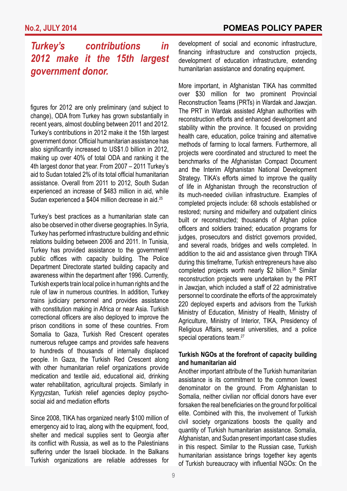# *Turkey's contributions in 2012 make it the 15th largest government donor.*

figures for 2012 are only preliminary (and subject to change), ODA from Turkey has grown substantially in recent years, almost doubling between 2011 and 2012. Turkey's contributions in 2012 make it the 15th largest government donor. Official humanitarian assistance has also significantly increased to US\$1.0 billion in 2012, making up over 40% of total ODA and ranking it the 4th largest donor that year. From 2007 – 2011 Turkey's aid to Sudan totaled 2% of its total official humanitarian assistance. Overall from 2011 to 2012, South Sudan experienced an increase of \$483 million in aid, while Sudan experienced a \$404 million decrease in aid.<sup>25</sup>

Turkey's best practices as a humanitarian state can also be observed in other diverse geographies. In Syria, Turkey has performed infrastructure building and ethnic relations building between 2006 and 2011. In Tunisia, Turkey has provided assistance to the government/ public offices with capacity building. The Police Department Directorate started building capacity and awareness within the department after 1996. Currently, Turkish experts train local police in human rights and the rule of law in numerous countries. In addition, Turkey trains judiciary personnel and provides assistance with constitution making in Africa or near Asia. Turkish correctional officers are also deployed to improve the prison conditions in some of these countries. From Somalia to Gaza, Turkish Red Crescent operates numerous refugee camps and provides safe heavens to hundreds of thousands of internally displaced people. In Gaza, the Turkish Red Crescent along with other humanitarian relief organizations provide medication and textile aid, educational aid, drinking water rehabilitation, agricultural projects. Similarly in Kyrgyzstan, Turkish relief agencies deploy psychosocial aid and mediation efforts

Since 2008, TIKA has organized nearly \$100 million of emergency aid to Iraq, along with the equipment, food, shelter and medical supplies sent to Georgia after its conflict with Russia, as well as to the Palestinians suffering under the Israeli blockade. In the Balkans Turkish organizations are reliable addresses for development of social and economic infrastructure, financing infrastructure and construction projects, development of education infrastructure, extending humanitarian assistance and donating equipment.

More important, in Afghanistan TIKA has committed over \$30 million for two prominent Provincial Reconstruction Teams (PRTs) in Wardak and Jawzjan. The PRT in Wardak assisted Afghan authorities with reconstruction efforts and enhanced development and stability within the province. It focused on providing health care, education, police training and alternative methods of farming to local farmers. Furthermore, all projects were coordinated and structured to meet the benchmarks of the Afghanistan Compact Document and the Interim Afghanistan National Development Strategy. TIKA's efforts aimed to improve the quality of life in Afghanistan through the reconstruction of its much-needed civilian infrastructure. Examples of completed projects include: 68 schools established or restored; nursing and midwifery and outpatient clinics built or reconstructed; thousands of Afghan police officers and soldiers trained; education programs for judges, prosecutors and district governors provided, and several roads, bridges and wells completed. In addition to the aid and assistance given through TIKA during this timeframe, Turkish entrepreneurs have also completed projects worth nearly \$2 billion.<sup>26</sup> Similar reconstruction projects were undertaken by the PRT in Jawzjan, which included a staff of 22 administrative personnel to coordinate the efforts of the approximately 220 deployed experts and advisors from the Turkish Ministry of Education, Ministry of Health, Ministry of Agriculture, Ministry of Interior, TIKA, Presidency of Religious Affairs, several universities, and a police special operations team.<sup>27</sup>

#### **Turkish NGOs at the forefront of capacity building and humanitarian aid**

Another important attribute of the Turkish humanitarian assistance is its commitment to the common lowest denominator on the ground. From Afghanistan to Somalia, neither civilian nor official donors have ever forsaken the real beneficiaries on the ground for political elite. Combined with this, the involvement of Turkish civil society organizations boosts the quality and quantity of Turkish humanitarian assistance. Somalia, Afghanistan, and Sudan present important case studies in this respect. Similar to the Russian case, Turkish humanitarian assistance brings together key agents of Turkish bureaucracy with influential NGOs: On the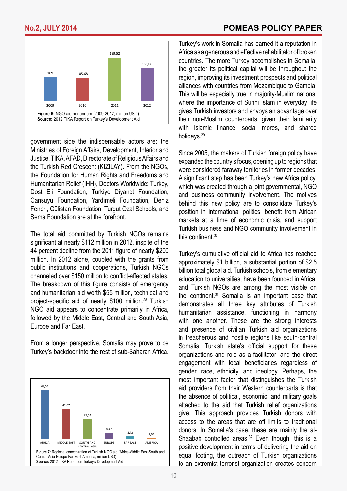

government side the indispensable actors are: the Ministries of Foreign Affairs, Development, Interior and Justice, TIKA, AFAD, Directorate of Religious Affairs and the Turkish Red Crescent (KIZILAY). From the NGOs, the Foundation for Human Rights and Freedoms and Humanitarian Relief (IHH), Doctors Worldwide: Turkey, Dost Eli Foundation, Türkiye Diyanet Foundation, Cansuyu Foundation, Yardımeli Foundation, Deniz Feneri, Gülistan Foundation, Turgut Özal Schools, and Sema Foundation are at the forefront.

The total aid committed by Turkish NGOs remains significant at nearly \$112 million in 2012, inspite of the 44 percent decline from the 2011 figure of nearly \$200 million. In 2012 alone, coupled with the grants from public institutions and cooperations, Turkish NGOs channeled over \$150 million to conflict-affected states. The breakdown of this figure consists of emergency and humanitarian aid worth \$55 million, technical and project-specific aid of nearly \$100 million.<sup>28</sup> Turkish NGO aid appears to concentrate primarily in Africa, followed by the Middle East, Central and South Asia, Europe and Far East.

From a longer perspective, Somalia may prove to be Turkey's backdoor into the rest of sub-Saharan Africa.



Turkey's work in Somalia has earned it a reputation in Africa as a generous and effective rehabilitator of broken countries. The more Turkey accomplishes in Somalia, the greater its political capital will be throughout the region, improving its investment prospects and political alliances with countries from Mozambique to Gambia. This will be especially true in majority-Muslim nations, where the importance of Sunni Islam in everyday life gives Turkish investors and envoys an advantage over their non-Muslim counterparts, given their familiarity with Islamic finance, social mores, and shared holidays.29

Since 2005, the makers of Turkish foreign policy have expanded the country's focus, opening up to regions that were considered faraway territories in former decades. A significant step has been Turkey's new Africa policy, which was created through a joint governmental, NGO and business community involvement. The motives behind this new policy are to consolidate Turkey's position in international politics, benefit from African markets at a time of economic crisis, and support Turkish business and NGO community involvement in this continent.<sup>30</sup>

Turkey's cumulative official aid to Africa has reached approximately \$1 billion, a substantial portion of \$2.5 billion total global aid. Turkish schools, from elementary education to universities, have been founded in Africa, and Turkish NGOs are among the most visible on the continent.<sup>31</sup> Somalia is an important case that demonstrates all three key attributes of Turkish humanitarian assistance, functioning in harmony with one another. These are the strong interests and presence of civilian Turkish aid organizations in treacherous and hostile regions like south-central Somalia; Turkish state's official support for these organizations and role as a facilitator; and the direct engagement with local beneficiaries regardless of gender, race, ethnicity, and ideology. Perhaps, the most important factor that distinguishes the Turkish aid providers from their Western counterparts is that the absence of political, economic, and military goals attached to the aid that Turkish relief organizations give. This approach provides Turkish donors with access to the areas that are off limits to traditional donors. In Somalia's case, these are mainly the al-Shaabab controlled areas. $32$  Even though, this is a positive development in terms of delivering the aid on equal footing, the outreach of Turkish organizations to an extremist terrorist organization creates concern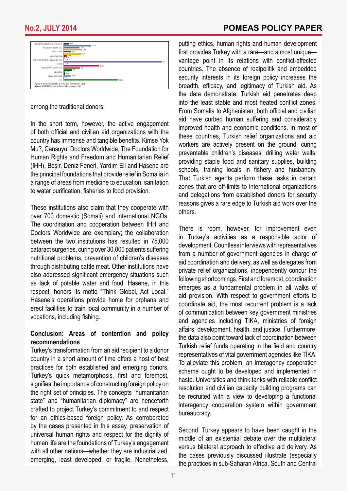

among the traditional donors.

In the short term, however, the active engagement of both official and civilian aid organizations with the country has immense and tangible benefits. Kimse Yok Mu?, Cansuyu, Doctors Worldwide, The Foundation for Human Rights and Freedom and Humanitarian Relief (IHH), Beşir, Deniz Feneri, Yardım Eli and Hasene are the principal foundations that provide relief in Somalia in a range of areas from medicine to education, sanitation to water purification, fisheries to food provision.

These institutions also claim that they cooperate with over 700 domestic (Somali) and international NGOs. The coordination and cooperation between IHH and Doctors Worldwide are exemplary; the collaboration between the two institutions has resulted in 75,000 cataract surgeries, curing over 30,000 patients suffering nutritional problems, prevention of children's diseases through distributing cattle meat. Other institutions have also addressed significant emergency situations such as lack of potable water and food. Hasene, in this respect, honors its motto "Think Global, Act Local." Hasene's operations provide home for orphans and erect facilities to train local community in a number of vocations, including fishing.

### **Conclusion: Areas of contention and policy recommendations**

Turkey's transformation from an aid recipient to a donor country in a short amount of time offers a host of best practices for both established and emerging donors. Turkey's quick metamorphosis, first and foremost, signifies the importance of constructing foreign policy on the right set of principles. The concepts "humanitarian state" and "humanitarian diplomacy" are henceforth crafted to project Turkey's commitment to and respect for an ethics-based foreign policy. As corroborated by the cases presented in this essay, preservation of universal human rights and respect for the dignity of human life are the foundations of Turkey's engagement with all other nations—whether they are industrialized. emerging, least developed, or fragile. Nonetheless,

putting ethics, human rights and human development first provides Turkey with a rare—and almost unique vantage point in its relations with conflict-affected countries. The absence of realpolitik and embedded security interests in its foreign policy increases the breadth, efficacy, and legitimacy of Turkish aid. As the data demonstrate, Turkish aid penetrates deep into the least stable and most heated conflict zones. From Somalia to Afghanistan, both official and civilian aid have curbed human suffering and considerably improved health and economic conditions. In most of these countries, Turkish relief organizations and aid workers are actively present on the ground, curing preventable children's diseases, drilling water wells, providing staple food and sanitary supplies, building schools, training locals in fishery and husbandry. That Turkish agents perform these tasks in certain zones that are off-limits to international organizations and delegations from established donors for security reasons gives a rare edge to Turkish aid work over the others.

There is room, however, for improvement even in Turkey's activities as a responsible actor of development. Countless interviews with representatives from a number of government agencies in charge of aid coordination and delivery, as well as delegates from private relief organizations, independently concur the following shortcomings. First and foremost, coordination emerges as a fundamental problem in all walks of aid provision. With respect to government efforts to coordinate aid, the most recurrent problem is a lack of communication between key government ministries and agencies including TIKA, ministries of foreign affairs, development, health, and justice. Furthermore, the data also point toward lack of coordination between Turkish relief funds operating in the field and country representatives of vital government agencies like TİKA. To alleviate this problem, an interagency cooperation scheme ought to be developed and implemented in haste. Universities and think tanks with reliable conflict resolution and civilian capacity building programs can be recruited with a view to developing a functional interagency cooperation system within government bureaucracy.

Second, Turkey appears to have been caught in the middle of an existential debate over the multilateral versus bilateral approach to effective aid delivery. As the cases previously discussed illustrate (especially the practices in sub-Saharan Africa, South and Central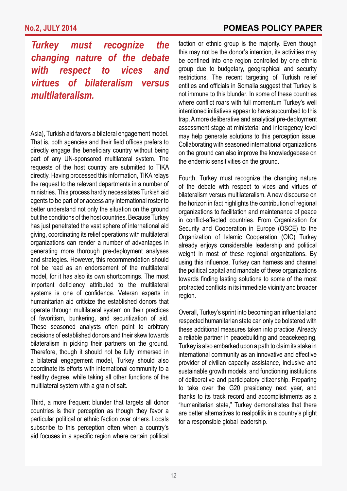*Turkey must recognize the changing nature of the debate with respect to vices and virtues of bilateralism versus multilateralism.*

Asia), Turkish aid favors a bilateral engagement model. That is, both agencies and their field offices prefers to directly engage the beneficiary country without being part of any UN-sponsored multilateral system. The requests of the host country are submitted to TIKA directly. Having processed this information, TIKA relays the request to the relevant departments in a number of ministries. This process hardly necessitates Turkish aid agents to be part of or access any international roster to better understand not only the situation on the ground but the conditions of the host countries. Because Turkey has just penetrated the vast sphere of international aid giving, coordinating its relief operations with multilateral organizations can render a number of advantages in generating more thorough pre-deployment analyses and strategies. However, this recommendation should not be read as an endorsement of the multilateral model, for it has also its own shortcomings. The most important deficiency attributed to the multilateral systems is one of confidence. Veteran experts in humanitarian aid criticize the established donors that operate through multilateral system on their practices of favoritism, bunkering, and securitization of aid. These seasoned analysts often point to arbitrary decisions of established donors and their skew towards bilateralism in picking their partners on the ground. Therefore, though it should not be fully immersed in a bilateral engagement model, Turkey should also coordinate its efforts with international community to a healthy degree, while taking all other functions of the multilateral system with a grain of salt.

Third, a more frequent blunder that targets all donor countries is their perception as though they favor a particular political or ethnic faction over others. Locals subscribe to this perception often when a country's aid focuses in a specific region where certain political

faction or ethnic group is the majority. Even though this may not be the donor's intention, its activities may be confined into one region controlled by one ethnic group due to budgetary, geographical and security restrictions. The recent targeting of Turkish relief entities and officials in Somalia suggest that Turkey is not immune to this blunder. In some of these countries where conflict roars with full momentum Turkey's well intentioned initiatives appear to have succumbed to this trap. A more deliberative and analytical pre-deployment assessment stage at ministerial and interagency level may help generate solutions to this perception issue. Collaborating with seasoned international organizations on the ground can also improve the knowledgebase on the endemic sensitivities on the ground.

Fourth, Turkey must recognize the changing nature of the debate with respect to vices and virtues of bilateralism versus multilateralism. A new discourse on the horizon in fact highlights the contribution of regional organizations to facilitation and maintenance of peace in conflict-affected countries. From Organization for Security and Cooperation in Europe (OSCE) to the Organization of Islamic Cooperation (OIC) Turkey already enjoys considerable leadership and political weight in most of these regional organizations. By using this influence, Turkey can harness and channel the political capital and mandate of these organizations towards finding lasting solutions to some of the most protracted conflicts in its immediate vicinity and broader region.

Overall, Turkey's sprint into becoming an influential and respected humanitarian state can only be bolstered with these additional measures taken into practice. Already a reliable partner in peacebuilding and peacekeeping, Turkey is also embarked upon a path to claim its stake in international community as an innovative and effective provider of civilian capacity assistance, inclusive and sustainable growth models, and functioning institutions of deliberative and participatory citizenship. Preparing to take over the G20 presidency next year, and thanks to its track record and accomplishments as a "humanitarian state," Turkey demonstrates that there are better alternatives to realpolitik in a country's plight for a responsible global leadership.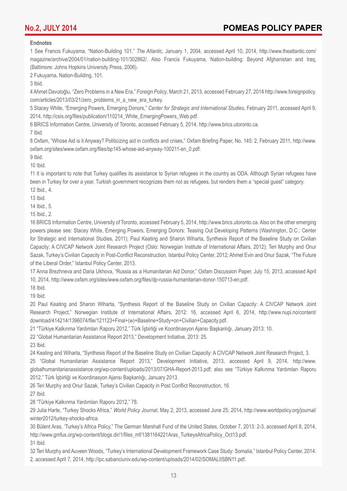#### **Endnotes**

1 See Francis Fukuyama, "Nation-Building 101," *The Atlantic*, January 1, 2004, accessed April 10, 2014, http://www.theatlantic.com/ magazine/archive/2004/01/nation-building-101/302862/. Also Francis Fukuyama, Nation-building: Beyond Afghanistan and Iraq, (Baltimore: Johns Hopkins University Press, 2006).

2 Fukuyama, Nation-Building, 101.

3 Ibid.

4 Ahmet Davutoğlu, "Zero Problems in a New Era," *Foreign Policy*, March 21, 2013, accessed February 27, 2014 http://www.foreignpolicy. com/articles/2013/03/21/zero\_problems\_in\_a\_new\_era\_turkey.

5 Stacey White, "Emerging Powers, Emerging Donors," *Center for Strategic and International Studies*, February 2011, accessed April 9, 2014, http://csis.org/files/publication/110214\_White\_EmergingPowers\_Web.pdf.

6 BRICS Information Centre, University of Toronto, accessed February 5, 2014, http://www.brics.utoronto.ca.

7 Ibid.

8 Oxfam, "Whose Aid is it Anyway? Politicizing aid in conflicts and crises," Oxfam Briefing Paper, No. 145: 2, February 2011, http://www. oxfam.org/sites/www.oxfam.org/files/bp145-whose-aid-anyway-100211-en\_0.pdf.

9 Ibid.

10 Ibid.

11 It is important to note that Turkey qualifies its assistance to Syrian refugees in the country as ODA. Although Syrian refugees have been in Turkey for over a year, Turkish government recognizes them not as refugees, but renders them a "special guest" category. 12 Ibid., 4.

13 Ibid.

14 Ibid., 5.

15 Ibid., 2.

16 BRICS Information Centre, University of Toronto, accessed February 5, 2014, http://www.brics.utoronto.ca. Also on the other emerging powers please see: Stacey White, Emerging Powers, Emerging Donors: Teasing Out Developing Patterns (Washington, D.C.: Center for Strategic and International Studies, 2011); Paul Keating and Sharon Wiharta, Synthesis Report of the Baseline Study on Civilian Capacity: A CIVCAP Network Joint Research Project (Oslo: Norwegian Institute of International Affairs, 2012); Teri Murphy and Onur Sazak, Turkey's Civilian Capacity in Post-Conflict Reconstruction, Istanbul Policy Center, 2012; Ahmet Evin and Onur Sazak, "The Future of the Liberal Order," Istanbul Policy Center, 2013.

17 Anna Brezhneva and Daria Ukhova, "Russia as a Humanitarian Aid Donor," Oxfam Discussion Paper, July 15, 2013, accessed April 10, 2014, http://www.oxfam.org/sites/www.oxfam.org/files/dp-russia-humanitarian-donor-150713-en.pdf.

18 Ibid.

19 Ibid.

20 Paul Keating and Sharon Wiharta, "Synthesis Report of the Baseline Study on Civilian Capacity: A CIVCAP Network Joint Research Project," Norwegian Institute of International Affairs, 2012: 16, accessed April 6, 2014, http://www.nupi.no/content/ download/414214/1396074/file/121123+Final+(w)+Baseline+Study+on+Civilian+Capacity.pdf.

21 "Türkiye Kalkınma Yardımları Raporu 2012," Türk İşbirliği ve Koordinasyon Ajansı Başkanlığı, January 2013: 10.

22 "Global Humanitarian Assistance Report 2013," Development Initiative, 2013: 25.

23 Ibid.

24 Keating and Wiharta, "Synthesis Report of the Baseline Study on Civilian Capacity: A CIVCAP Network Joint Research Project, 3.

25 "Global Humanitarian Assistance Report 2013," Development Initiative, 2013, accessed April 9, 2014, http://www. globalhumanitarianassistance.org/wp-content/uploads/2013/07/GHA-Report-2013.pdf; also see "Türkiye Kalkınma Yardımları Raporu 2012," Türk İşbirliği ve Koordinasyon Ajansı Başkanlığı, January 2013.

26 Teri Murphy and Onur Sazak, Turkey's Civilian Capacity in Post Conflict Reconstruction, 16.

27 Ibid.

28 "Türkiye Kalkınma Yardımları Raporu 2012," 78.

29 Julia Harte, "Turkey Shocks Africa," *World Policy Journal*, May 2, 2013, accessed June 25, 2014, http://www.worldpolicy.org/journal/ winter2012/turkey-shocks-africa.

30 Bülent Aras, 'Turkey's Africa Policy," The German Marshall Fund of the United States, October 7, 2013: 2-3, accessed April 8, 2014, http://www.gmfus.org/wp-content/blogs.dir/1/files\_mf/1381164221Aras\_TurkeysAfricaPolicy\_Oct13.pdf.

31 Ibid.

32 Teri Murphy and Auveen Woods, "Turkey's International Development Framework Case Study: Somalia," Istanbul Policy Center, 2014: 2, accessed April 7, 2014, http://ipc.sabanciuniv.edu/wp-content/uploads/2014/02/SOMALIISBN11.pdf.